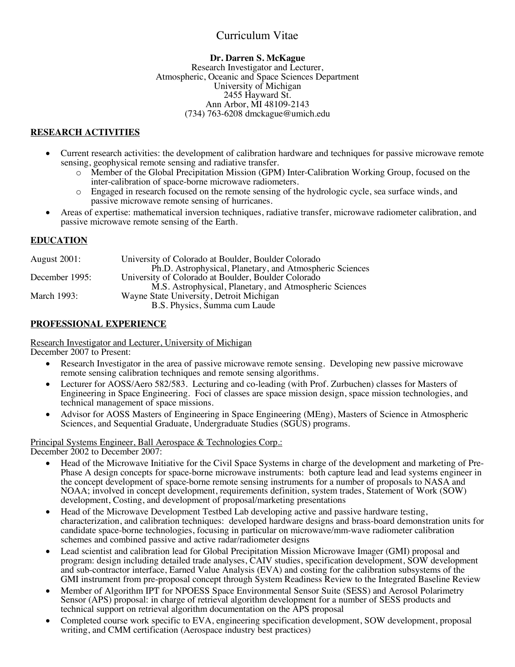# Curriculum Vitae

#### **Dr. Darren S. McKague**

Research Investigator and Lecturer, Atmospheric, Oceanic and Space Sciences Department University of Michigan 2455 Hayward St. Ann Arbor, MI 48109-2143 (734) 763-6208 dmckague@umich.edu

## **RESEARCH ACTIVITIES**

- Current research activities: the development of calibration hardware and techniques for passive microwave remote sensing, geophysical remote sensing and radiative transfer.
	- o Member of the Global Precipitation Mission (GPM) Inter-Calibration Working Group, focused on the inter-calibration of space-borne microwave radiometers.
	- o Engaged in research focused on the remote sensing of the hydrologic cycle, sea surface winds, and passive microwave remote sensing of hurricanes.
- Areas of expertise: mathematical inversion techniques, radiative transfer, microwave radiometer calibration, and passive microwave remote sensing of the Earth.

### **EDUCATION**

| <b>August 2001:</b> | University of Colorado at Boulder, Boulder Colorado      |
|---------------------|----------------------------------------------------------|
|                     | Ph.D. Astrophysical, Planetary, and Atmospheric Sciences |
| December 1995:      | University of Colorado at Boulder, Boulder Colorado      |
|                     | M.S. Astrophysical, Planetary, and Atmospheric Sciences  |
| March 1993:         | Wayne State University, Detroit Michigan                 |
|                     | B.S. Physics, Summa cum Laude                            |

### **PROFESSIONAL EXPERIENCE**

Research Investigator and Lecturer, University of Michigan

- December 2007 to Present:
	- Research Investigator in the area of passive microwave remote sensing. Developing new passive microwave remote sensing calibration techniques and remote sensing algorithms.
	- Lecturer for AOSS/Aero 582/583. Lecturing and co-leading (with Prof. Zurbuchen) classes for Masters of Engineering in Space Engineering. Foci of classes are space mission design, space mission technologies, and technical management of space missions.
	- Advisor for AOSS Masters of Engineering in Space Engineering (MEng), Masters of Science in Atmospheric Sciences, and Sequential Graduate, Undergraduate Studies (SGUS) programs.

# Principal Systems Engineer, Ball Aerospace & Technologies Corp.:

December 2002 to December 2007:

- Head of the Microwave Initiative for the Civil Space Systems in charge of the development and marketing of Pre-Phase A design concepts for space-borne microwave instruments: both capture lead and lead systems engineer in the concept development of space-borne remote sensing instruments for a number of proposals to NASA and NOAA; involved in concept development, requirements definition, system trades, Statement of Work (SOW) development, Costing, and development of proposal/marketing presentations
- Head of the Microwave Development Testbed Lab developing active and passive hardware testing, characterization, and calibration techniques: developed hardware designs and brass-board demonstration units for candidate space-borne technologies, focusing in particular on microwave/mm-wave radiometer calibration schemes and combined passive and active radar/radiometer designs
- Lead scientist and calibration lead for Global Precipitation Mission Microwave Imager (GMI) proposal and program: design including detailed trade analyses, CAIV studies, specification development, SOW development and sub-contractor interface, Earned Value Analysis (EVA) and costing for the calibration subsystems of the GMI instrument from pre-proposal concept through System Readiness Review to the Integrated Baseline Review
- Member of Algorithm IPT for NPOESS Space Environmental Sensor Suite (SESS) and Aerosol Polarimetry Sensor (APS) proposal: in charge of retrieval algorithm development for a number of SESS products and technical support on retrieval algorithm documentation on the APS proposal
- Completed course work specific to EVA, engineering specification development, SOW development, proposal writing, and CMM certification (Aerospace industry best practices)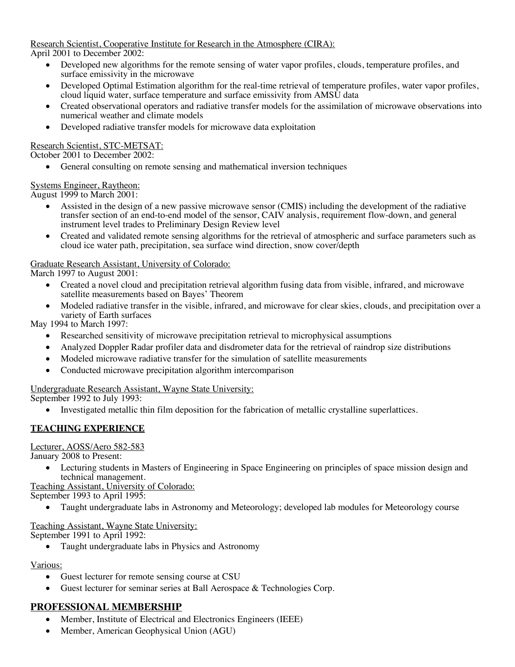Research Scientist, Cooperative Institute for Research in the Atmosphere (CIRA): April 2001 to December 2002:

- Developed new algorithms for the remote sensing of water vapor profiles, clouds, temperature profiles, and surface emissivity in the microwave
- Developed Optimal Estimation algorithm for the real-time retrieval of temperature profiles, water vapor profiles, cloud liquid water, surface temperature and surface emissivity from AMSU data
- Created observational operators and radiative transfer models for the assimilation of microwave observations into numerical weather and climate models
- Developed radiative transfer models for microwave data exploitation

### Research Scientist, STC-METSAT:

October 2001 to December 2002:

General consulting on remote sensing and mathematical inversion techniques

### Systems Engineer, Raytheon:

August 1999 to March 2001:

- Assisted in the design of a new passive microwave sensor (CMIS) including the development of the radiative transfer section of an end-to-end model of the sensor, CAIV analysis, requirement flow-down, and general instrument level trades to Preliminary Design Review level
- Created and validated remote sensing algorithms for the retrieval of atmospheric and surface parameters such as cloud ice water path, precipitation, sea surface wind direction, snow cover/depth

### Graduate Research Assistant, University of Colorado:

March 1997 to August 2001:

- Created a novel cloud and precipitation retrieval algorithm fusing data from visible, infrared, and microwave satellite measurements based on Bayes' Theorem
- Modeled radiative transfer in the visible, infrared, and microwave for clear skies, clouds, and precipitation over a variety of Earth surfaces

May 1994 to March 1997:

- Researched sensitivity of microwave precipitation retrieval to microphysical assumptions
- Analyzed Doppler Radar profiler data and disdrometer data for the retrieval of raindrop size distributions
- Modeled microwave radiative transfer for the simulation of satellite measurements
- Conducted microwave precipitation algorithm intercomparison

Undergraduate Research Assistant, Wayne State University:

September 1992 to July 1993:

• Investigated metallic thin film deposition for the fabrication of metallic crystalline superlattices.

### **TEACHING EXPERIENCE**

Lecturer, AOSS/Aero 582-583

January 2008 to Present:

• Lecturing students in Masters of Engineering in Space Engineering on principles of space mission design and technical management.

Teaching Assistant, University of Colorado: September 1993 to April 1995:

• Taught undergraduate labs in Astronomy and Meteorology; developed lab modules for Meteorology course

Teaching Assistant, Wayne State University:

September 1991 to April 1992:

• Taught undergraduate labs in Physics and Astronomy

#### Various:

- Guest lecturer for remote sensing course at CSU
- Guest lecturer for seminar series at Ball Aerospace & Technologies Corp.

# **PROFESSIONAL MEMBERSHIP**

- Member, Institute of Electrical and Electronics Engineers (IEEE)
- Member, American Geophysical Union (AGU)